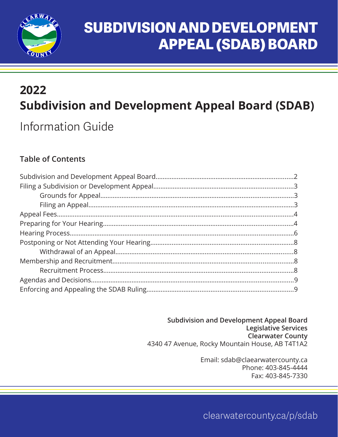

# **SUBDIVISION AND DEVELOPMENT APPEAL (SDAB) BOARD**

## **2022 Subdivision and Development Appeal Board (SDAB)**

Information Guide

### **Table of Contents**

**Subdivision and Development Appeal Board Legislative Services Clearwater County** 4340 47 Avenue, Rocky Mountain House, AB T4T1A2

> Email: sdab@claearwatercounty.ca Phone: 403-845-4444 Fax: 403-845-7330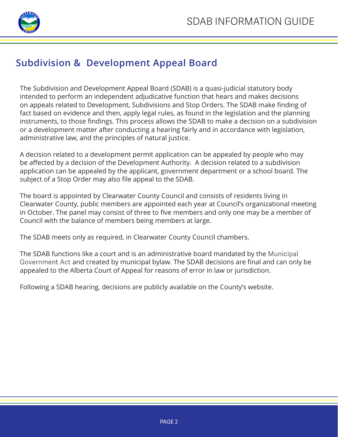

### **Subdivision & Development Appeal Board**

The Subdivision and Development Appeal Board (SDAB) is a quasi-judicial statutory body intended to perform an independent adjudicative function that hears and makes decisions on appeals related to Development, Subdivisions and Stop Orders. The SDAB make finding of fact based on evidence and then, apply legal rules, as found in the legislation and the planning instruments, to those findings. This process allows the SDAB to make a decision on a subdivision or a development matter after conducting a hearing fairly and in accordance with legislation, administrative law, and the principles of natural justice.

A decision related to a development permit application can be appealed by people who may be affected by a decision of the Development Authority. A decision related to a subdivision application can be appealed by the applicant, government department or a school board. The subject of a Stop Order may also file appeal to the SDAB.

The board is appointed by Clearwater County Council and consists of residents living in Clearwater County, public members are appointed each year at Council's organizational meeting in October. The panel may consist of three to five members and only one may be a member of Council with the balance of members being members at large.

The SDAB meets only as required, in Clearwater County Council chambers.

The SDAB functions like a court and is an administrative board mandated by the Municipal Government Act and created by municipal bylaw. The SDAB decisions are final and can only be appealed to the Alberta Court of Appeal for reasons of error in law or jurisdiction.

Following a SDAB hearing, decisions are publicly available on the County's website.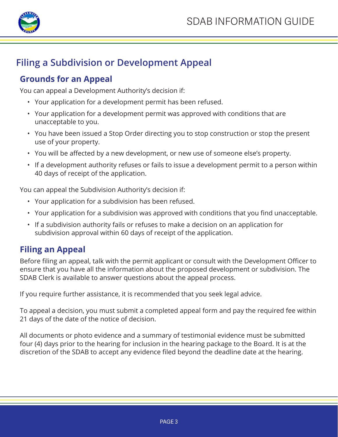

### **Filing a Subdivision or Development Appeal**

### **Grounds for an Appeal**

You can appeal a Development Authority's decision if:

- Your application for a development permit has been refused.
- Your application for a development permit was approved with conditions that are unacceptable to you.
- You have been issued a Stop Order directing you to stop construction or stop the present use of your property.
- You will be affected by a new development, or new use of someone else's property.
- If a development authority refuses or fails to issue a development permit to a person within 40 days of receipt of the application.

You can appeal the Subdivision Authority's decision if:

- Your application for a subdivision has been refused.
- Your application for a subdivision was approved with conditions that you find unacceptable.
- If a subdivision authority fails or refuses to make a decision on an application for subdivision approval within 60 days of receipt of the application.

### **Filing an Appeal**

Before filing an appeal, talk with the permit applicant or consult with the Development Officer to ensure that you have all the information about the proposed development or subdivision. The SDAB Clerk is available to answer questions about the appeal process.

If you require further assistance, it is recommended that you seek legal advice.

To appeal a decision, you must submit a completed appeal form and pay the required fee within 21 days of the date of the notice of decision.

All documents or photo evidence and a summary of testimonial evidence must be submitted four (4) days prior to the hearing for inclusion in the hearing package to the Board. It is at the discretion of the SDAB to accept any evidence filed beyond the deadline date at the hearing.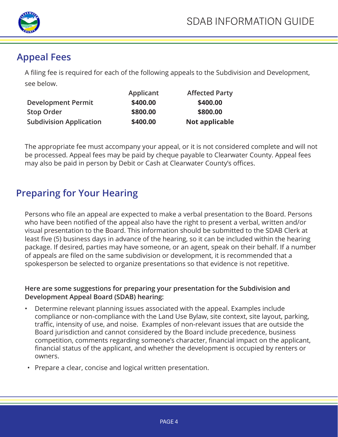

### **Appeal Fees**

A filing fee is required for each of the following appeals to the Subdivision and Development, see below.

|                                | Applicant | <b>Affected Party</b> |
|--------------------------------|-----------|-----------------------|
| <b>Development Permit</b>      | \$400.00  | \$400.00              |
| <b>Stop Order</b>              | \$800.00  | \$800.00              |
| <b>Subdivision Application</b> | \$400.00  | Not applicable        |

The appropriate fee must accompany your appeal, or it is not considered complete and will not be processed. Appeal fees may be paid by cheque payable to Clearwater County. Appeal fees may also be paid in person by Debit or Cash at Clearwater County's offices.

### **Preparing for Your Hearing**

Persons who file an appeal are expected to make a verbal presentation to the Board. Persons who have been notified of the appeal also have the right to present a verbal, written and/or visual presentation to the Board. This information should be submitted to the SDAB Clerk at least five (5) business days in advance of the hearing, so it can be included within the hearing package. If desired, parties may have someone, or an agent, speak on their behalf. If a number of appeals are filed on the same subdivision or development, it is recommended that a spokesperson be selected to organize presentations so that evidence is not repetitive.

#### **Here are some suggestions for preparing your presentation for the Subdivision and Development Appeal Board (SDAB) hearing:**

- Determine relevant planning issues associated with the appeal. Examples include compliance or non-compliance with the Land Use Bylaw, site context, site layout, parking, traffic, intensity of use, and noise. Examples of non-relevant issues that are outside the Board jurisdiction and cannot considered by the Board include precedence, business competition, comments regarding someone's character, financial impact on the applicant, financial status of the applicant, and whether the development is occupied by renters or owners.
- Prepare a clear, concise and logical written presentation.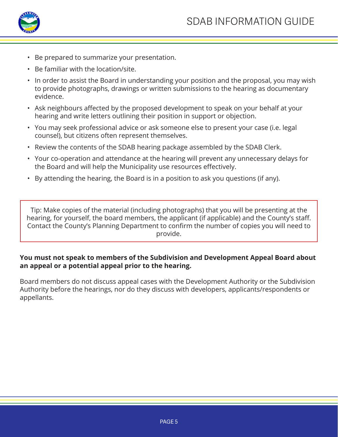

- Be prepared to summarize your presentation.
- Be familiar with the location/site.
- In order to assist the Board in understanding your position and the proposal, you may wish to provide photographs, drawings or written submissions to the hearing as documentary evidence.
- Ask neighbours affected by the proposed development to speak on your behalf at your hearing and write letters outlining their position in support or objection.
- You may seek professional advice or ask someone else to present your case (i.e. legal counsel), but citizens often represent themselves.
- Review the contents of the SDAB hearing package assembled by the SDAB Clerk.
- Your co-operation and attendance at the hearing will prevent any unnecessary delays for the Board and will help the Municipality use resources effectively.
- By attending the hearing, the Board is in a position to ask you questions (if any).

Tip: Make copies of the material (including photographs) that you will be presenting at the hearing, for yourself, the board members, the applicant (if applicable) and the County's staff. Contact the County's Planning Department to confirm the number of copies you will need to provide.

#### **You must not speak to members of the Subdivision and Development Appeal Board about an appeal or a potential appeal prior to the hearing.**

Board members do not discuss appeal cases with the Development Authority or the Subdivision Authority before the hearings, nor do they discuss with developers, applicants/respondents or appellants.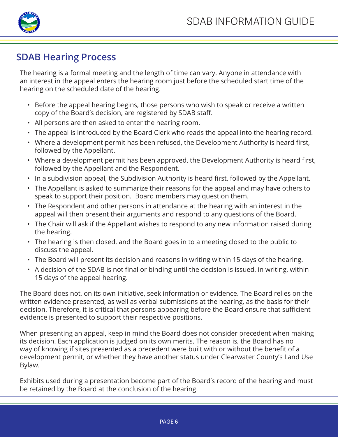

### **SDAB Hearing Process**

The hearing is a formal meeting and the length of time can vary. Anyone in attendance with an interest in the appeal enters the hearing room just before the scheduled start time of the hearing on the scheduled date of the hearing.

- Before the appeal hearing begins, those persons who wish to speak or receive a written copy of the Board's decision, are registered by SDAB staff.
- All persons are then asked to enter the hearing room.
- The appeal is introduced by the Board Clerk who reads the appeal into the hearing record.
- Where a development permit has been refused, the Development Authority is heard first, followed by the Appellant.
- Where a development permit has been approved, the Development Authority is heard first, followed by the Appellant and the Respondent.
- In a subdivision appeal, the Subdivision Authority is heard first, followed by the Appellant.
- The Appellant is asked to summarize their reasons for the appeal and may have others to speak to support their position. Board members may question them.
- The Respondent and other persons in attendance at the hearing with an interest in the appeal will then present their arguments and respond to any questions of the Board.
- The Chair will ask if the Appellant wishes to respond to any new information raised during the hearing.
- The hearing is then closed, and the Board goes in to a meeting closed to the public to discuss the appeal.
- The Board will present its decision and reasons in writing within 15 days of the hearing.
- A decision of the SDAB is not final or binding until the decision is issued, in writing, within 15 days of the appeal hearing.

The Board does not, on its own initiative, seek information or evidence. The Board relies on the written evidence presented, as well as verbal submissions at the hearing, as the basis for their decision. Therefore, it is critical that persons appearing before the Board ensure that sufficient evidence is presented to support their respective positions.

When presenting an appeal, keep in mind the Board does not consider precedent when making its decision. Each application is judged on its own merits. The reason is, the Board has no way of knowing if sites presented as a precedent were built with or without the benefit of a development permit, or whether they have another status under Clearwater County's Land Use Bylaw.

Exhibits used during a presentation become part of the Board's record of the hearing and must be retained by the Board at the conclusion of the hearing.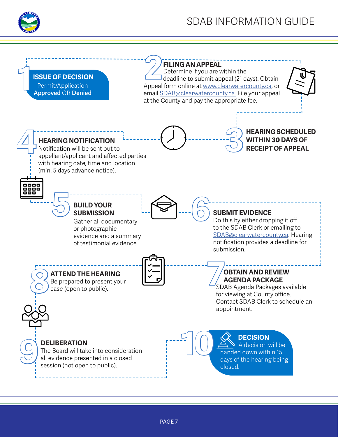

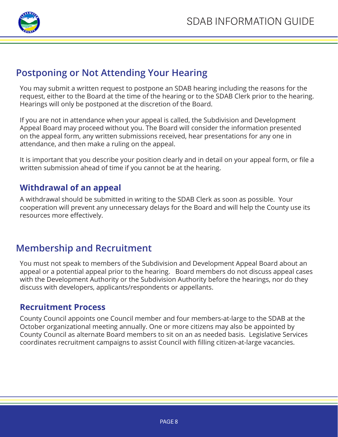

### **Postponing or Not Attending Your Hearing**

You may submit a written request to postpone an SDAB hearing including the reasons for the request, either to the Board at the time of the hearing or to the SDAB Clerk prior to the hearing. Hearings will only be postponed at the discretion of the Board.

If you are not in attendance when your appeal is called, the Subdivision and Development Appeal Board may proceed without you. The Board will consider the information presented on the appeal form, any written submissions received, hear presentations for any one in attendance, and then make a ruling on the appeal.

It is important that you describe your position clearly and in detail on your appeal form, or file a written submission ahead of time if you cannot be at the hearing.

#### **Withdrawal of an appeal**

A withdrawal should be submitted in writing to the SDAB Clerk as soon as possible. Your cooperation will prevent any unnecessary delays for the Board and will help the County use its resources more effectively.

### **Membership and Recruitment**

You must not speak to members of the Subdivision and Development Appeal Board about an appeal or a potential appeal prior to the hearing. Board members do not discuss appeal cases with the Development Authority or the Subdivision Authority before the hearings, nor do they discuss with developers, applicants/respondents or appellants.

#### **Recruitment Process**

County Council appoints one Council member and four members-at-large to the SDAB at the October organizational meeting annually. One or more citizens may also be appointed by County Council as alternate Board members to sit on an as needed basis. Legislative Services coordinates recruitment campaigns to assist Council with filling citizen-at-large vacancies.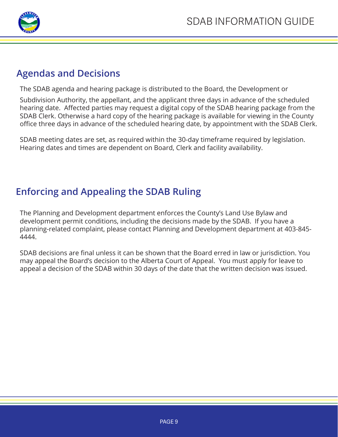

### **Agendas and Decisions**

The SDAB agenda and hearing package is distributed to the Board, the Development or

Subdivision Authority, the appellant, and the applicant three days in advance of the scheduled hearing date. Affected parties may request a digital copy of the SDAB hearing package from the SDAB Clerk. Otherwise a hard copy of the hearing package is available for viewing in the County office three days in advance of the scheduled hearing date, by appointment with the SDAB Clerk.

SDAB meeting dates are set, as required within the 30-day timeframe required by legislation. Hearing dates and times are dependent on Board, Clerk and facility availability.

### **Enforcing and Appealing the SDAB Ruling**

The Planning and Development department enforces the County's Land Use Bylaw and development permit conditions, including the decisions made by the SDAB. If you have a planning-related complaint, please contact Planning and Development department at 403-845- 4444.

SDAB decisions are final unless it can be shown that the Board erred in law or jurisdiction. You may appeal the Board's decision to the Alberta Court of Appeal. You must apply for leave to appeal a decision of the SDAB within 30 days of the date that the written decision was issued.